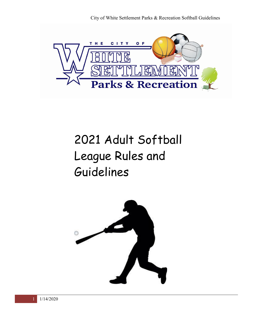

# 2021 Adult Softball League Rules and Guidelines

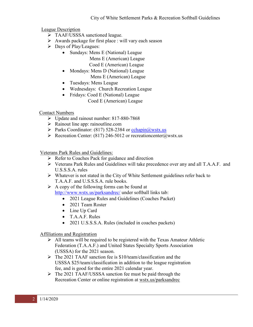League Description

- > TAAF/USSSA sanctioned league.
- $\triangleright$  Awards package for first place : will vary each season
- Days of Play/Leagues:
	- Sundays: Mens E (National) League
		- Mens E (American) League
			- Coed E (American) League
		- Mondays: Mens D (National) League Mens E (American) League
		- Tuesdays: Mens League
		- Wednesdays: Church Recreation League
		- Fridays: Coed E (National) League
			- Coed E (American) League

Contact Numbers

- Update and rainout number: 817-880-7868
- $\triangleright$  Rainout line app: rainoutline.com
- Parks Coordinator: (817) 528-2384 or  $\text{cchain}(\omega)$  wstx.us
- Recreation Center: (817) 246-5012 or recreationcenter@wstx.us

Veterans Park Rules and Guidelines:

- $\triangleright$  Refer to Coaches Pack for guidance and direction
- Veterans Park Rules and Guidelines will take precedence over any and all T.A.A.F. and U.S.S.S.A. rules
- $\triangleright$  Whatever is not stated in the City of White Settlement guidelines refer back to T.A.A.F. and U.S.S.S.A. rule books.
- $\triangleright$  A copy of the following forms can be found at <http://www.wstx.us/parksandrec/> under softball links tab:
	- 2021 League Rules and Guidelines (Coaches Packet)
	- 2021 Team Roster
	- Line Up Card
	- T.A.A.F. Rules
	- 2021 U.S.S.S.A. Rules (included in coaches packets)

## Affiliations and Registration

- $\triangleright$  All teams will be required to be registered with the Texas Amateur Athletic Federation (T.A.A.F.) and United States Specialty Sports Association (USSSA) for the 2021 season.
- $\triangleright$  The 2021 TAAF sanction fee is \$10/team/classification and the USSSA \$25/team/classification in addition to the league registration fee, and is good for the entire 2021 calendar year.
- The 2021 TAAF/USSSA sanction fee must be paid through the Recreation Center or online registration at wstx.us/parksandrec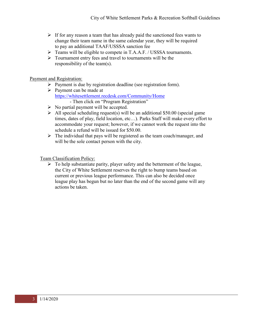- $\triangleright$  If for any reason a team that has already paid the sanctioned fees wants to change their team name in the same calendar year, they will be required to pay an additional TAAF/USSSA sanction fee
- Teams will be eligible to compete in T.A.A.F. / USSSA tournaments.
- $\triangleright$  Tournament entry fees and travel to tournaments will be the responsibility of the team(s).

## Payment and Registration:

- Payment is due by registration deadline (see registration form).
- $\triangleright$  Payment can be made at <https://whitesettlement.recdesk.com/Community/Home> - Then click on "Program Registration"
- $\triangleright$  No partial payment will be accepted.
- $\triangleright$  All special scheduling request(s) will be an additional \$50.00 (special game times, dates of play, field location, etc…). Parks Staff will make every effort to accommodate your request; however, if we cannot work the request into the schedule a refund will be issued for \$50.00.
- $\triangleright$  The individual that pays will be registered as the team coach/manager, and will be the sole contact person with the city.

Team Classification Policy:

 $\triangleright$  To help substantiate parity, player safety and the betterment of the league, the City of White Settlement reserves the right to bump teams based on current or previous league performance. This can also be decided once league play has begun but no later than the end of the second game will any actions be taken.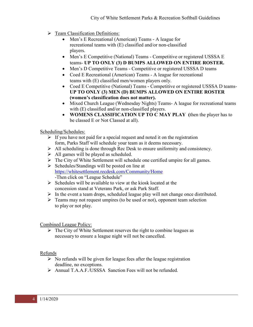- $\triangleright$  Team Classification Definitions:
	- Men's E Recreational (American) Teams A league for recreational teams with (E) classified and/or non-classified players.
	- Men's E Competitive (National) Teams Competitive or registered USSSA E teams- **UP TO ONLY (3) D BUMPS ALLOWED ON ENTIRE ROSTER.**
	- Men's D Competitive Teams Competitive or registered USSSA D teams
	- Coed E Recreational (American) Teams A league for recreational teams with (E) classified men/women players only.
	- Coed E Competitive (National) Teams Competitive or registered USSSA D teams-**UP TO ONLY (3) MEN (D) BUMPS ALLOWED ON ENTIRE ROSTER (women's classification does not matter).**
	- Mixed Church League (Wednesday Nights) Teams- A league for recreational teams with (E) classified and/or non-classified players.
	- **WOMENS CLASSIFICATION UP TO C MAY PLAY (**then the player has to be classed E or Not Classed at all).

## Scheduling/Schedules:

- $\triangleright$  If you have not paid for a special request and noted it on the registration form, Parks Staff will schedule your team as it deems necessary.
- $\triangleright$  All scheduling is done through Rec Desk to ensure uniformity and consistency.
- $\triangleright$  All games will be played as scheduled.
- $\triangleright$  The City of White Settlement will schedule one certified umpire for all games.
- $\triangleright$  Schedules/Standings will be posted on line at <https://whitesettlement.recdesk.com/Community/Home> -Then click on "League Schedule"
- $\triangleright$  Schedules will be available to view at the kiosk located at the concession stand at Veterans Park, or ask Park Staff.
- $\triangleright$  In the event a team drops, scheduled league play will not change once distributed.
- $\triangleright$  Teams may not request umpires (to be used or not), opponent team selection to play or not play.

Combined League Policy:

 $\triangleright$  The City of White Settlement reserves the right to combine leagues as necessary to ensure a league night will not be cancelled.

## Refunds

- $\triangleright$  No refunds will be given for league fees after the league registration deadline, no exceptions.
- Annual T.A.A.F./USSSA Sanction Fees will not be refunded.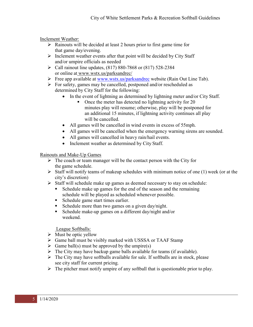Inclement Weather:

- $\triangleright$  Rainouts will be decided at least 2 hours prior to first game time for that game day/evening.
- $\triangleright$  Inclement weather events after that point will be decided by City Staff and/or umpire officials as needed
- $\triangleright$  Call rainout line updates, (817) 880-7868 or (817) 528-2384 or online at [www.wstx.us/parksandrec/](http://www.wstx.us/parksandrec/)
- Free app available at [www.wstx.us/parksandrec](http://www.wstx.us/parksandrec) website (Rain Out Line Tab).
- $\triangleright$  For safety, games may be cancelled, postponed and/or rescheduled as determined by City Staff for the following:
	- In the event of lightning as determined by lightning meter and/or City Staff.
		- Once the meter has detected no lightning activity for 20 minutes play will resume; otherwise, play will be postponed for an additional 15 minutes, if lightning activity continues all play will be cancelled.
	- All games will be cancelled in wind events in excess of 55mph.
	- All games will be cancelled when the emergency warning sirens are sounded.
	- All games will cancelled in heavy rain/hail events.
	- Inclement weather as determined by City Staff.

Rainouts and Make-Up Games

- $\triangleright$  The coach or team manager will be the contact person with the City for the game schedule.
- $\triangleright$  Staff will notify teams of makeup schedules with minimum notice of one (1) week (or at the city's discretion)
- Staff will schedule make up games as deemed necessary to stay on schedule:
	- Schedule make up games for the end of the season and the remaining schedule will be played as scheduled whenever possible.
	- Schedule game start times earlier.
	- Schedule more than two games on a given day/night.
	- Schedule make-up games on a different day/night and/or weekend.

League Softballs:

- $\triangleright$  Must be optic yellow
- Game ball must be visibly marked with USSSA or TAAF Stamp
- $\triangleright$  Game ball(s) must be approved by the umpire(s)
- $\triangleright$  The City may have backup game balls available for teams (if available).
- $\triangleright$  The City may have softballs available for sale. If softballs are in stock, please see city staff for current pricing.
- $\triangleright$  The pitcher must notify umpire of any softball that is questionable prior to play.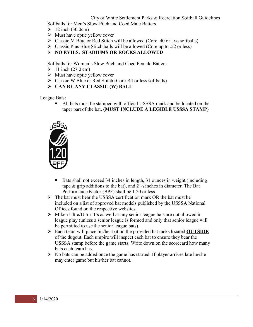#### City of White Settlement Parks & Recreation Softball Guidelines Softballs for Men's Slow-Pitch and Coed Male Batters

- $\geq 12$  inch (30.0cm)
- $\triangleright$  Must have optic yellow cover
- $\triangleright$  Classic M Blue or Red Stitch will be allowed (Core .40 or less softballs)
- $\triangleright$  Classic Plus Blue Stitch balls will be allowed (Core up to .52 or less)
- **NO EVILS, STADIUMS OR ROCKS ALLOWED**

Softballs for Women's Slow Pitch and Coed Female Batters

- $\geq 11$  inch (27.0 cm)
- $\triangleright$  Must have optic yellow cover
- $\triangleright$  Classic W Blue or Red Stitch (Core .44 or less softballs)
- **CAN BE ANY CLASSIC (W) BALL**

League Bats:

 All bats must be stamped with official USSSA mark and be located on the taper part of the bat. **(MUST INCLUDE A LEGIBLE USSSA STAMP)**



- Bats shall not exceed 34 inches in length, 31 ounces in weight (including tape  $\&$  grip additions to the bat), and 2  $\frac{1}{4}$  inches in diameter. The Bat Performance Factor (BPF) shall be 1.20 or less.
- $\triangleright$  The bat must bear the USSSA certification mark OR the bat must be included on a list of approved bat models published by the USSSA National Offices found on the respective websites.
- Miken Ultra/Ultra II's as well as any senior league bats are not allowed in league play (unless a senior league is formed and only that senior league will be permitted to use the senior league bats).
- Each team will place his/her bat on the provided bat racks located **OUTSIDE** of the dugout. Each umpire will inspect each bat to ensure they bear the USSSA stamp before the game starts. Write down on the scorecard how many bats each team has.
- $\triangleright$  No bats can be added once the game has started. If player arrives late he/she may enter game but his/her bat cannot.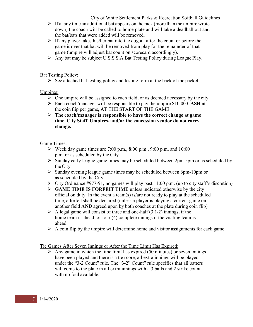City of White Settlement Parks & Recreation Softball Guidelines

- $\triangleright$  If at any time an additional bat appears on the rack (more than the umpire wrote down) the coach will be called to home plate and will take a deadball out and the bat/bats that were added will be removed.
- $\triangleright$  If any player takes his/her bat into the dugout after the count or before the game is over that bat will be removed from play for the remainder of that game (umpire will adjust bat count on scorecard accordingly).
- Any bat may be subject U.S.S.S.A Bat Testing Policy during League Play.

### Bat Testing Policy:

 $\triangleright$  See attached bat testing policy and testing form at the back of the packet.

## Umpires:

- $\triangleright$  One umpire will be assigned to each field, or as deemed necessary by the city.
- Each coach/manager will be responsible to pay the umpire \$10.00 **CASH** at the coin flip per game, AT THE START OF THE GAME
- **The coach/manager is responsible to have the correct change at game time. City Staff, Umpires, and/or the concession vendor do not carry change.**

## Game Times:

- $\triangleright$  Week day game times are 7:00 p.m., 8:00 p.m., 9:00 p.m. and 10:00 p.m. or as scheduled by the City.
- $\triangleright$  Sunday early league game times may be scheduled between 2pm-5pm or as scheduled by the City.
- $\triangleright$  Sunday evening league game times may be scheduled between 6pm-10pm or as scheduled by the City.
- $\triangleright$  City Ordinance #977-91, no games will play past 11:00 p.m. (up to city staff's discretion)
- **GAME TIME IS FORFEIT TIME** unless indicated otherwise by the city official on duty. In the event a team(s) is/are not ready to play at the scheduled time, a forfeit shall be declared (unless a player is playing a current game on another field **AND** agreed upon by both coaches at the plate during coin flip)
- $\triangleright$  A legal game will consist of three and one-half (3 1/2) innings, if the home team is ahead: or four (4) complete innings if the visiting team is ahead.
- $\triangleright$  A coin flip by the umpire will determine home and visitor assignments for each game.

## Tie Games After Seven Innings or After the Time Limit Has Expired:

 $\triangleright$  Any game in which the time limit has expired (50 minutes) or seven innings have been played and there is a tie score, all extra innings will be played under the "3-2 Count" rule. The "3-2" Count" rule specifies that all batters will come to the plate in all extra innings with a 3 balls and 2 strike count with no foul available.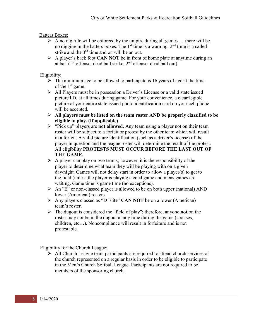## Batters Boxes:

- $\triangleright$  A no dig rule will be enforced by the umpire during all games ... there will be no digging in the batters boxes. The  $1<sup>st</sup>$  time is a warning,  $2<sup>nd</sup>$  time is a called strike and the  $3<sup>rd</sup>$  time and on will be an out.
- A player's back foot **CAN NOT** be in front of home plate at anytime during an at bat. (1st offense: dead ball strike, 2nd offense: dead ball out)

## Eligibility:

- $\triangleright$  The minimum age to be allowed to participate is 16 years of age at the time of the  $1<sup>st</sup>$  game.
- $\triangleright$  All Players must be in possession a Driver's License or a valid state issued picture I.D. at all times during game. For your convenience, a clear/legible picture of your entire state issued photo identification card on your cell phone will be accepted.
- **All players must be listed on the team roster AND be properly classified to be eligible to play. (If applicable)**
- "Pick up" players are **not allowed**. Any team using a player not on their team roster will be subject to a forfeit or protest by the other team which will result in a forfeit. A valid picture identification (such as a driver's license) of the player in question and the league roster will determine the result of the protest. All eligibility **PROTESTS MUST OCCUR BEFORE THE LAST OUT OF THE GAME.**
- $\triangleright$  A player can play on two teams; however, it is the responsibility of the player to determine what team they will be playing with on a given day/night. Games will not delay start in order to allow a player(s) to get to the field (unless the player is playing a coed game and mens games are waiting. Game time is game time (no exceptions).
- An "E" or non-classed player is allowed to be on both upper (national) AND lower (American) rosters.
- Any players classed as "D Elite" **CAN NOT** be on a lower (American) team's roster.
- The dugout is considered the "field of play"; therefore, anyone **not** on the roster may not be in the dugout at any time during the game (spouses, children, etc…). Noncompliance will result in forfeiture and is not protestable.

Eligibility for the Church League:

 $\triangleright$  All Church League team participants are required to attend church services of the church represented on a regular basis in order to be eligible to participate in the Men's Church Softball League. Participants are not required to be members of the sponsoring church.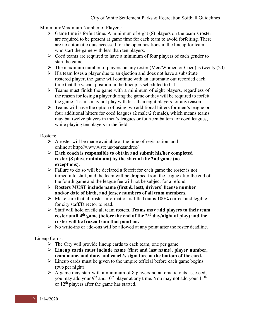Minimum/Maximum Number of Players:

- $\triangleright$  Game time is forfeit time. A minimum of eight (8) players on the team's roster are required to be present at game time for each team to avoid forfeiting. There are no automatic outs accessed for the open positions in the lineup for team who start the game with less than ten players.
- $\triangleright$  Coed teams are required to have a minimum of four players of each gender to start the game.
- $\triangleright$  The maximum number of players on any roster (Men/Women or Coed) is twenty (20).
- $\triangleright$  If a team loses a player due to an ejection and does not have a substitute rostered player, the game will continue with an automatic out recorded each time that the vacant position in the lineup is scheduled to bat.
- $\triangleright$  Teams must finish the game with a minimum of eight players, regardless of the reason for losing a player during the game or they will be required to forfeit the game. Teams may not play with less than eight players for any reason.
- $\triangleright$  Teams will have the option of using two additional hitters for men's league or four additional hitters for coed leagues (2 male/2 female), which means teams may bat twelve players in men's leagues or fourteen batters for coed leagues, while playing ten players in the field.

## Rosters:

- $\triangleright$  A roster will be made available at the time of registration, and online at [http://www.wstx.us/parksandrec/.](http://www.wstx.us/parksandrec/)
- **Each coach is responsible to obtain and submit his/her completed roster (8 player minimum) by the start of the 2nd game (no exceptions).**
- $\triangleright$  Failure to do so will be declared a forfeit for each game the roster is not turned into staff, and the team will be dropped from the league after the end of the fourth game and the league fee will not be subject for a refund.
- **Rosters MUST include name (first & last), drivers' license number and/or date of birth, and jersey numbers of all team members.**
- $\triangleright$  Make sure that all roster information is filled out is 100% correct and legible for city staff/Director to read.
- Staff will hold on file all team rosters. **Teams may add players to their team roster until 4th game (before the end of the 2nd day/night of play) and the roster will be frozen from that point on.**
- $\triangleright$  No write-ins or add-ons will be allowed at any point after the roster deadline.

## Lineup Cards:

- $\triangleright$  The City will provide lineup cards to each team, one per game.
- **Lineup cards must include name (first and last name), player number, team name, and date, and coach's signature at the bottom of the card.**
- $\triangleright$  Lineup cards must be given to the umpire official before each game begins (two per night).
- $\triangleright$  A game may start with a minimum of 8 players no automatic outs assessed; you may add your 9<sup>th</sup> and 10<sup>th</sup> player at any time. You may not add your 11<sup>th</sup> or  $12<sup>th</sup>$  players after the game has started.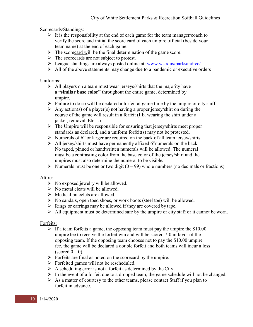Scorecards/Standings:

- $\triangleright$  It is the responsibility at the end of each game for the team manager/coach to verify the score and initial the score card of each umpire official (beside your team name) at the end of each game.
- $\triangleright$  The scorecard will be the final determination of the game score.
- $\triangleright$  The scorecards are not subject to protest.
- League standings are always posted online at: [www.wstx.us/parksandrec/](http://www.wstx.us/parksandrec/)
- $\triangleright$  All of the above statements may change due to a pandemic or executive orders

### Uniforms:

- $\triangleright$  All players on a team must wear jerseys/shirts that the majority have a **"similar base color"** throughout the entire game, determined by umpire.
- $\triangleright$  Failure to do so will be declared a forfeit at game time by the umpire or city staff.
- $\triangleright$  Any action(s) of a player(s) not having a proper jersey/shirt on during the course of the game will result in a forfeit (I.E. wearing the shirt under a jacket, removal. Etc…)
- $\triangleright$  The Umpire will be responsible for ensuring that jersey/shirts meet proper standards as declared, and a uniform forfeit(s) may not be protested.
- $\triangleright$  Numerals of 6" or larger are required on the back of all team jersey/shirts.
- $\triangleright$  All jersey/shirts must have permanently affixed 6"numerals on the back. No taped, pinned or handwritten numerals will be allowed. The numeral must be a contrasting color from the base color of the jersey/shirt and the umpires must also determine the numeral to be visible**.**
- $\triangleright$  Numerals must be one or two digit (0 99) whole numbers (no decimals or fractions).

## Attire:

- $\triangleright$  No exposed jewelry will be allowed.
- $\triangleright$  No metal cleats will be allowed.
- $\triangleright$  Medical bracelets are allowed.
- $\triangleright$  No sandals, open toed shoes, or work boots (steel toe) will be allowed.
- $\triangleright$  Rings or earrings may be allowed if they are covered by tape.
- $\triangleright$  All equipment must be determined safe by the umpire or city staff or it cannot be worn.

## Forfeits:

- $\triangleright$  If a team forfeits a game, the opposing team must pay the umpire the \$10.00 umpire fee to receive the forfeit win and will be scored 7-0 in favor of the opposing team. If the opposing team chooses not to pay the \$10.00 umpire fee, the game will be declared a double forfeit and both teams will incur a loss (scored  $0 - 0$ ).
- $\triangleright$  Forfeits are final as noted on the scorecard by the umpire.
- $\triangleright$  Forfeited games will not be rescheduled.
- $\triangleright$  A scheduling error is not a forfeit as determined by the City.
- $\triangleright$  In the event of a forfeit due to a dropped team, the game schedule will not be changed.
- $\triangleright$  As a matter of courtesy to the other teams, please contact Staff if you plan to forfeit in advance.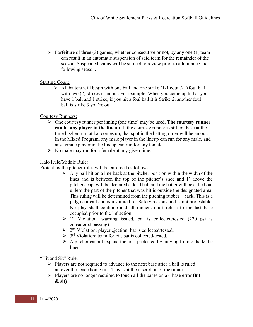$\triangleright$  Forfeiture of three (3) games, whether consecutive or not, by any one (1) team can result in an automatic suspension of said team for the remainder of the season. Suspended teams will be subject to review prior to admittance the following season.

#### Starting Count:

 $\triangleright$  All batters will begin with one ball and one strike (1-1 count). Afoul ball with two (2) strikes is an out. For example: When you come up to bat you have 1 ball and 1 strike, if you hit a foul ball it is Strike 2, another foul ball is strike 3 you're out.

#### Courtesy Runners:

- One courtesy runner per inning (one time) may be used. **The courtesy runner can be any player in the lineup**. If the courtesy runner is still on base at the time his/her turn at bat comes up, that spot in the batting order will be an out. In the Mixed Program, any male player in the lineup can run for any male, and any female player in the lineup can run for any female.
- $\triangleright$  No male may run for a female at any given time.

## Halo Rule/Middle Rule:

Protecting the pitcher rules will be enforced as follows:

- $\triangleright$  Any ball hit on a line back at the pitcher position within the width of the lines and is between the top of the pitcher's shoe and 1' above the pitchers cap, will be declared a dead ball and the batter will be called out unless the part of the pitcher that was hit is outside the designated area. This ruling will be determined from the pitching rubber – back. This is a judgment call and is instituted for Safety reasons and is not protestable. No play shall continue and all runners must return to the last base occupied prior to the infraction.
- $\triangleright$  1<sup>st</sup> Violation: warning issued, bat is collected/tested (220 psi is considered passing)
- $\geq 2^{nd}$  Violation: player ejection, bat is collected/tested.
- $\geq 3^{rd}$  Violation: team forfeit, bat is collected/tested.
- $\triangleright$  A pitcher cannot expand the area protected by moving from outside the lines.

"Hit and Sit" Rule:

- $\triangleright$  Players are not required to advance to the next base after a ball is ruled an over the fence home run. This is at the discretion of the runner.
- Players are no longer required to touch all the bases on a 4 base error **(hit & sit)**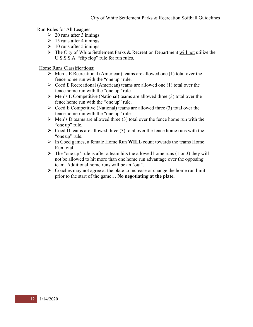Run Rules for All Leagues:

- $\geq 20$  runs after 3 innings
- $\geq 15$  runs after 4 innings
- $\geq 10$  runs after 5 innings
- $\triangleright$  The City of White Settlement Parks & Recreation Department will not utilize the U.S.S.S.A. "flip flop" rule for run rules.

Home Runs Classifications:

- $\triangleright$  Men's E Recreational (American) teams are allowed one (1) total over the fence home run with the "one up" rule.
- $\triangleright$  Coed E Recreational (American) teams are allowed one (1) total over the fence home run with the "one up" rule.
- $\triangleright$  Men's E Competitive (National) teams are allowed three (3) total over the fence home run with the "one up" rule.
- $\triangleright$  Coed E Competitive (National) teams are allowed three (3) total over the fence home run with the "one up" rule.
- $\triangleright$  Men's D teams are allowed three (3) total over the fence home run with the "one up" rule.
- $\triangleright$  Coed D teams are allowed three (3) total over the fence home runs with the "one up" rule.
- In Coed games, a female Home Run **WILL** count towards the teams Home Run total.
- $\triangleright$  The "one up" rule is after a team hits the allowed home runs (1 or 3) they will not be allowed to hit more than one home run advantage over the opposing team. Additional home runs will be an "out".
- $\triangleright$  Coaches may not agree at the plate to increase or change the home run limit prior to the start of the game… **No negotiating at the plate.**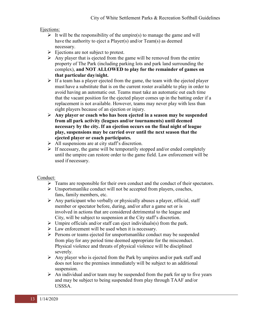#### Ejections:

- $\triangleright$  It will be the responsibility of the umpire(s) to manage the game and will have the authority to eject a Player(s) and/or Team(s) as deemed necessary.
- $\triangleright$  Ejections are not subject to protest.
- $\triangleright$  Any player that is ejected from the game will be removed from the entire property of The Park (including parking lots and park land surrounding the complex), **and NOT ALLOWED to play for the remainder of games on that particular day/night.**
- $\triangleright$  If a team has a player ejected from the game, the team with the ejected player must have a substitute that is on the current roster available to play in order to avoid having an automatic out. Teams must take an automatic out each time that the vacant position for the ejected player comes up in the batting order if a replacement is not available. However, teams may never play with less than eight players because of an ejection or injury.
- **Any player or coach who has been ejected in a season may be suspended from all park activity (leagues and/or tournaments) until deemed necessary by the city. If an ejection occurs on the final night of league play, suspensions may be carried over until the next season that the ejected player or coach participates.**
- $\triangleright$  All suspensions are at city staff's discretion.
- $\triangleright$  If necessary, the game will be temporarily stopped and/or ended completely until the umpire can restore order to the game field. Law enforcement will be used if necessary.

#### Conduct:

- $\triangleright$  Teams are responsible for their own conduct and the conduct of their spectators.
- $\triangleright$  Unsportsmanlike conduct will not be accepted from players, coaches, fans, family members, etc.
- $\triangleright$  Any participant who verbally or physically abuses a player, official, staff member or spectator before, during, and/or after a game set or is involved in actions that are considered detrimental to the league and City, will be subject to suspension at the City staff's discretion.
- $\triangleright$  Umpire officials and/or staff can eject individuals(s) from the park.
- $\triangleright$  Law enforcement will be used when it is necessary.
- $\triangleright$  Persons or teams ejected for unsportsmanlike conduct may be suspended from play for any period time deemed appropriate for the misconduct. Physical violence and threats of physical violence will be disciplined severely.
- $\triangleright$  Any player who is ejected from the Park by umpires and/or park staff and does not leave the premises immediately will be subject to an additional suspension.
- $\triangleright$  An individual and/or team may be suspended from the park for up to five years and may be subject to being suspended from play through TAAF and/or USSSA.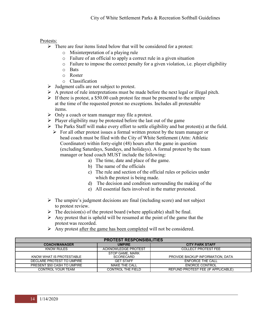### Protests:

- $\triangleright$  There are four items listed below that will be considered for a protest:
	- o Misinterpretation of a playing rule
	- o Failure of an official to apply a correct rule in a given situation
	- o Failure to impose the correct penalty for a given violation, i.e. player eligibility
	- o Bats
	- o Roster
	- o Classification
- $\triangleright$  Judgment calls are not subject to protest.
- $\triangleright$  A protest of rule interpretations must be made before the next legal or illegal pitch.
- $\triangleright$  If there is protest, a \$50.00 cash protest fee must be presented to the umpire at the time of the requested protest no exceptions. Includes all protestable items.
- $\triangleright$  Only a coach or team manager may file a protest.
- $\triangleright$  Player eligibility may be protested before the last out of the game
- $\triangleright$  The Parks Staff will make every effort to settle eligibility and bat protest(s) at the field.
	- $\triangleright$  For all other protest issues a formal written protest by the team manager or head coach must be filed with the City of White Settlement (Attn: Athletic Coordinator) within forty-eight (48) hours after the game in question (excluding Saturdays, Sundays, and holidays). A formal protest by the team manager or head coach MUST include the following:
		- a) The time, date and place of the game.
		- b) The name of the officials
		- c) The rule and section of the official rules or policies under which the protest is being made.
		- d) The decision and condition surrounding the making of the
		- e) All essential facts involved in the matter protested.
- $\triangleright$  The umpire's judgment decisions are final (including score) and not subject to protest review.
- $\triangleright$  The decision(s) of the protest board (where applicable) shall be final.
- $\triangleright$  Any protest that is upheld will be resumed at the point of the game that the protest was recorded.
- $\triangleright$  Any protest after the game has been completed will not be considered.

| <b>PROTEST RESPONSIBILITIES</b> |                              |                                    |
|---------------------------------|------------------------------|------------------------------------|
| <b>COACH/MANAGER</b>            | <b>UMPIRE</b>                | <b>CITY PARK STAFF</b>             |
| KNOW RULES                      | <b>ACKNOWLEDGE PROTEST</b>   | <b>COLLECT PROTEST FEE</b>         |
| KNOW WHAT IS PROTESTABLE        | STOP GAME, MARK<br>SCORECARD | PROVIDE BACKUP INFORMATION, DATA   |
| DECLARE PROTEST TO UMPIRE       | <b>GET STAFF</b>             | <b>ENFORCE THE CALL</b>            |
| PRESENT \$50 CASH TO UMPIRE     | <b>MAKE THE CALL</b>         | <b>ENORCE CONTROL</b>              |
| CONTROL YOUR TEAM               | CONTROL THE FIELD            | REFUND PROTEST FEE (IF APPLICABLE) |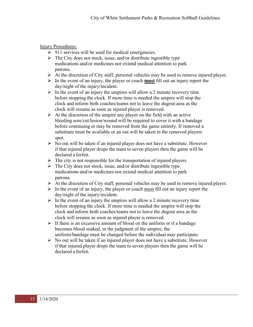Injury Procedures:

- $\geq 911$  services will be used for medical emergencies.
- $\triangleright$  The City does not stock, issue, and/or distribute ingestible type medications and/or medicines nor extend medical attention to park patrons.
- $\triangleright$  At the discretion of City staff, personal vehicles may be used to remove injured player.
- $\triangleright$  In the event of an injury, the player or coach **must** fill out an injury report the day/night of the injury/incident.
- $\triangleright$  In the event of an injury the umpires will allow a 2 minute recovery time before stopping the clock. If more time is needed the umpire will stop the clock and inform both coaches/teams not to leave the dugout area as the clock will resume as soon as injured player is removed.
- $\triangleright$  At the discretion of the umpire any player on the field with an active bleeding sore/cut/lesion/wound will be required to cover it with a bandage before continuing or may be removed from the game entirely. If removed a substitute must be available or an out will be taken in the removed players spot.
- $\triangleright$  No out will be taken if an injured player does not have a substitute. However if that injured player drops the team to seven players then the game will be declared a forfeit.
- $\triangleright$  The city is not responsible for the transportation of injured players.
- $\triangleright$  The City does not stock, issue, and/or distribute ingestible type medications and/or medicines nor extend medical attention to park patrons.
- $\triangleright$  At the discretion of City staff, personal vehicles may be used to remove injured player.
- $\triangleright$  In the event of an injury, the player or coach must fill out an injury report the day/night of the injury/incident.
- $\triangleright$  In the event of an injury the umpires will allow a 2 minute recovery time before stopping the clock. If more time is needed the umpire will stop the clock and inform both coaches/teams not to leave the dugout area as the clock will resume as soon as injured player is removed.
- $\triangleright$  If there is an excessive amount of blood on the uniform or if a bandage becomes blood soaked, in the judgment of the umpire, the uniform/bandage must be changed before the individual may participate.
- $\triangleright$  No out will be taken if an injured player does not have a substitute. However if that injured player drops the team to seven players then the game will be declared a forfeit.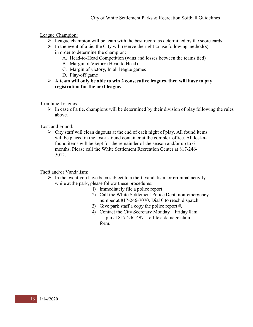League Champion:

- $\triangleright$  League champion will be team with the best record as determined by the score cards.
- $\triangleright$  In the event of a tie, the City will reserve the right to use following method(s) in order to determine the champion:
	- A. Head-to-Head Competition (wins and losses between the teams tied)
	- B. Margin of Victory (Head to Head)
	- C. Margin of victory**,** In all league games
	- D. Play-off game
- **A team will only be able to win 2 consecutive leagues, then will have to pay registration for the next league.**

Combine Leagues:

 $\triangleright$  In case of a tie, champions will be determined by their division of play following the rules above.

Lost and Found:

 $\triangleright$  City staff will clean dugouts at the end of each night of play. All found items will be placed in the lost-n-found container at the complex office. All lost-nfound items will be kept for the remainder of the season and/or up to 6 months. Please call the White Settlement Recreation Center at 817-246- 5012.

Theft and/or Vandalism:

- $\triangleright$  In the event you have been subject to a theft, vandalism, or criminal activity while at the park, please follow these procedures:
	- 1) Immediately file a police report!
	- 2) Call the White Settlement Police Dept. non-emergency number at 817-246-7070. Dial 0 to reach dispatch
	- 3) Give park staff a copy the police report #.
	- 4) Contact the City Secretary Monday Friday 8am – 5pm at 817-246-4971 to file a damage claim form.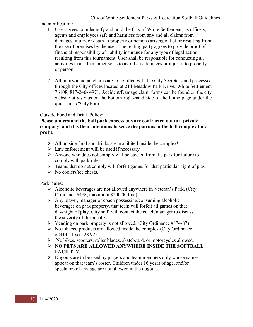### Indemnification:

- 1. User agrees to indemnify and hold the City of White Settlement, its officers, agents and employees safe and harmless from any and all claims from damages, injury or death to property or persons arising out of or resulting from the use of premises by the user. The renting party agrees to provide proof of financial responsibility of liability insurance for any type of legal action resulting from this tournament. User shall be responsible for conducting all activities in a safe manner so as to avoid any damages or injuries to property or person.
- 2. All injury/incident claims are to be filled with the City Secretary and processed through the City offices located at 214 Meadow Park Drive, White Settlement 76108, 817-246- 4971. Accident/Damage claim forms can be found on the city website at wstx.us on the bottom right-hand side of the home page under the quick links "City Forms".

### Outside Food and Drink Policy:

#### **Please understand the ball park concessions are contracted out to a private company, and it is their intentions to serve the patrons in the ball complex for a profit.**

- $\triangleright$  All outside food and drinks are prohibited inside the complex!
- $\triangleright$  Law enforcement will be used if necessary.
- $\triangleright$  Anyone who does not comply will be ejected from the park for failure to comply with park rules.
- $\triangleright$  Teams that do not comply will forfeit games for that particular night of play.
- $\triangleright$  No coolers/ice chests.

#### Park Rules:

- Alcoholic beverages are not allowed anywhere in Veteran's Park. (City Ordinance #488, maximum \$200.00 fine)
- $\triangleright$  Any player, manager or coach possessing/consuming alcoholic beverages on park property, that team will forfeit all games on that day/night of play. City staff will contact the coach/manager to discuss the severity of the penalty.
- $\triangleright$  Vending on park property is not allowed. (City Ordinance #874-87)
- $\triangleright$  No tobacco products are allowed inside the complex (City Ordinance #2414-11 sec. 28.92)
- No bikes, scooters, roller blades, skateboard, or motorcycles allowed.
- **NO PETS ARE ALLOWED ANYWHERE INSIDE THE SOFTBALL FACILITY.**
- $\triangleright$  Dugouts are to be used by players and team members only whose names appear on that team's roster. Children under 16 years of age, and/or spectators of any age are not allowed in the dugouts.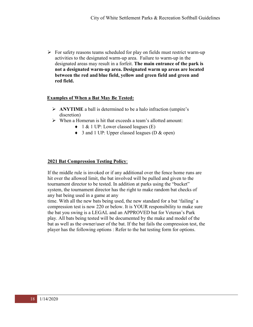$\triangleright$  For safety reasons teams scheduled for play on fields must restrict warm-up activities to the designated warm-up area. Failure to warm-up in the designated areas may result in a forfeit. **The main entrance of the park is not a designated warm-up area. Designated warm up areas are located between the red and blue field, yellow and green field and green and red field.**

#### **Examples of When a Bat May Be Tested:**

- **ANYTIME** a ball is determined to be a halo infraction (umpire's discretion)
- When a Homerun is hit that exceeds a team's allotted amount:
	- ♦ 1 & 1 UP: Lower classed leagues (E)
	- ♦ 3 and 1 UP: Upper classed leagues (D & open)

### **2021 Bat Compression Testing Policy**:

If the middle rule is invoked or if any additional over the fence home runs are hit over the allowed limit, the bat involved will be pulled and given to the tournament director to be tested. In addition at parks using the "bucket" system, the tournament director has the right to make random bat checks of any bat being used in a game at any

time. With all the new bats being used, the new standard for a bat 'failing' a compression test is now 220 or below. It is YOUR responsibility to make sure the bat you swing is a LEGAL and an APPROVED bat for Veteran's Park play. All bats being tested will be documented by the make and model of the bat as well as the owner/user of the bat. If the bat fails the compression test, the player has the following options : Refer to the bat testing form for options.